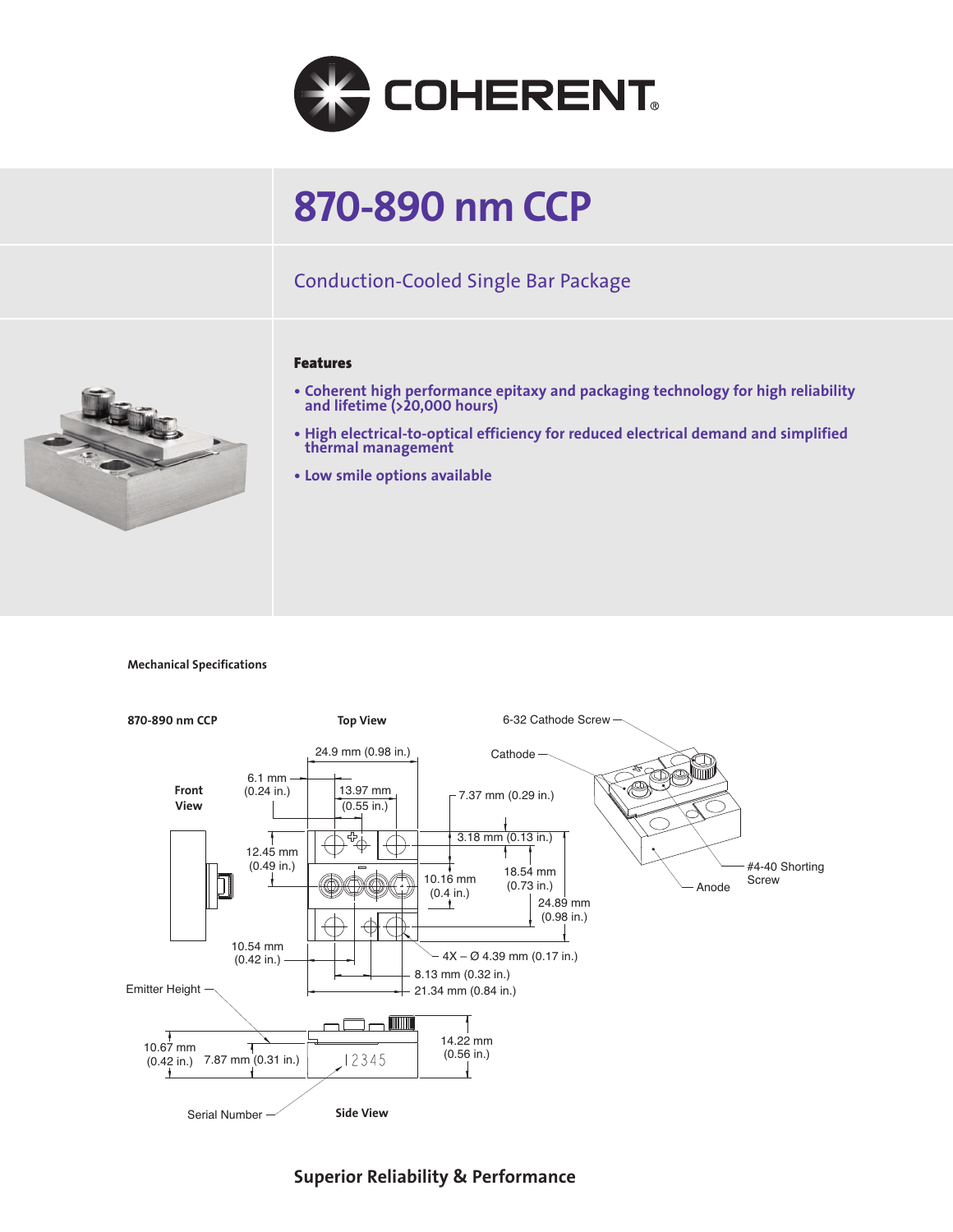

# **870-890 nm CCP**

## Conduction-Cooled Single Bar Package



- **Coherent high performance epitaxy and packaging technology for high reliability and lifetime (>20,000 hours)**
- **High electrical-to-optical efficiency for reduced electrical demand and simplified thermal management**
- **Low smile options available**

**Mechanical Specifications**



**Superior Reliability & Performance**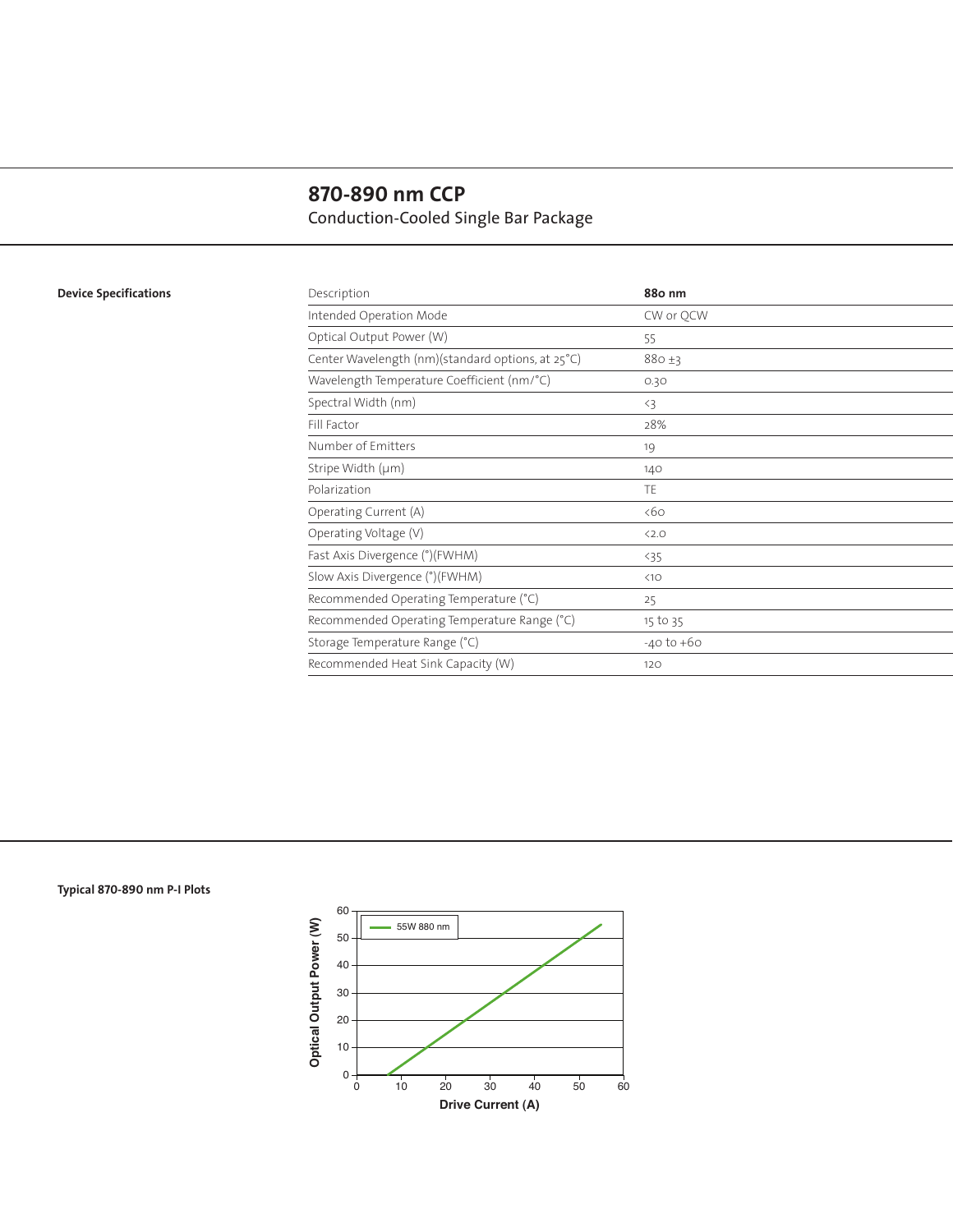# **870-890 nm CCP** Conduction-Cooled Single Bar Package

### **Device Specifications**

| Description                                       | 88o nm         |
|---------------------------------------------------|----------------|
| Intended Operation Mode                           | CW or OCW      |
| Optical Output Power (W)                          | 55             |
| Center Wavelength (nm)(standard options, at 25°C) | $880 + 3$      |
| Wavelength Temperature Coefficient (nm/°C)        | 0.30           |
| Spectral Width (nm)                               | $\langle 3$    |
| Fill Factor                                       | 28%            |
| Number of Emitters                                | 19             |
| Stripe Width (µm)                                 | 140            |
| Polarization                                      | TE.            |
| Operating Current (A)                             | <60            |
| Operating Voltage (V)                             | < 2.0          |
| Fast Axis Divergence (°)(FWHM)                    | $35$           |
| Slow Axis Divergence (°)(FWHM)                    | <10            |
| Recommended Operating Temperature (°C)            | 25             |
| Recommended Operating Temperature Range (°C)      | 15 to 35       |
| Storage Temperature Range (°C)                    | $-40$ to $+60$ |
| Recommended Heat Sink Capacity (W)                | 120            |
|                                                   |                |